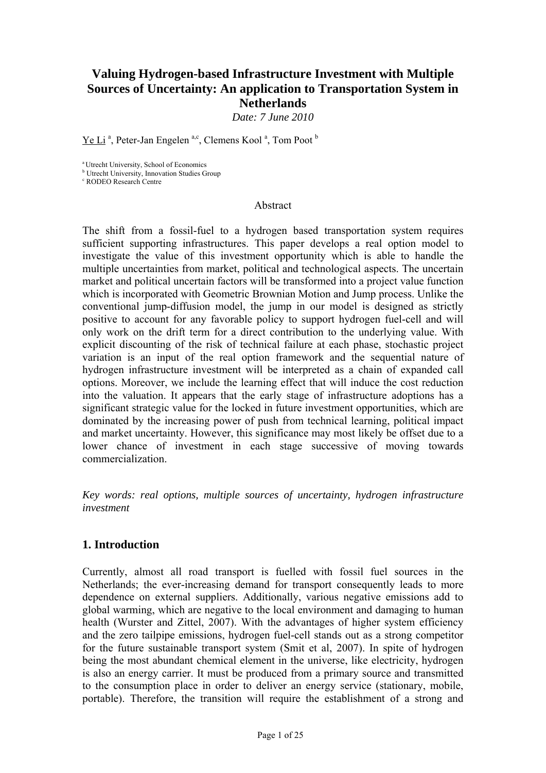# **Valuing Hydrogen-based Infrastructure Investment with Multiple Sources of Uncertainty: An application to Transportation System in Netherlands**

*Date: 7 June 2010* 

Ye Li<sup>a</sup>, Peter-Jan Engelen<sup>a,c</sup>, Clemens Kool<sup>a</sup>, Tom Poot<sup>b</sup>

a Utrecht University, School of Economics

**b** Utrecht University, Innovation Studies Group

c RODEO Research Centre

#### Abstract

The shift from a fossil-fuel to a hydrogen based transportation system requires sufficient supporting infrastructures. This paper develops a real option model to investigate the value of this investment opportunity which is able to handle the multiple uncertainties from market, political and technological aspects. The uncertain market and political uncertain factors will be transformed into a project value function which is incorporated with Geometric Brownian Motion and Jump process. Unlike the conventional jump-diffusion model, the jump in our model is designed as strictly positive to account for any favorable policy to support hydrogen fuel-cell and will only work on the drift term for a direct contribution to the underlying value. With explicit discounting of the risk of technical failure at each phase, stochastic project variation is an input of the real option framework and the sequential nature of hydrogen infrastructure investment will be interpreted as a chain of expanded call options. Moreover, we include the learning effect that will induce the cost reduction into the valuation. It appears that the early stage of infrastructure adoptions has a significant strategic value for the locked in future investment opportunities, which are dominated by the increasing power of push from technical learning, political impact and market uncertainty. However, this significance may most likely be offset due to a lower chance of investment in each stage successive of moving towards commercialization.

*Key words: real options, multiple sources of uncertainty, hydrogen infrastructure investment* 

## **1. Introduction**

Currently, almost all road transport is fuelled with fossil fuel sources in the Netherlands; the ever-increasing demand for transport consequently leads to more dependence on external suppliers. Additionally, various negative emissions add to global warming, which are negative to the local environment and damaging to human health (Wurster and Zittel, 2007). With the advantages of higher system efficiency and the zero tailpipe emissions, hydrogen fuel-cell stands out as a strong competitor for the future sustainable transport system (Smit et al, 2007). In spite of hydrogen being the most abundant chemical element in the universe, like electricity, hydrogen is also an energy carrier. It must be produced from a primary source and transmitted to the consumption place in order to deliver an energy service (stationary, mobile, portable). Therefore, the transition will require the establishment of a strong and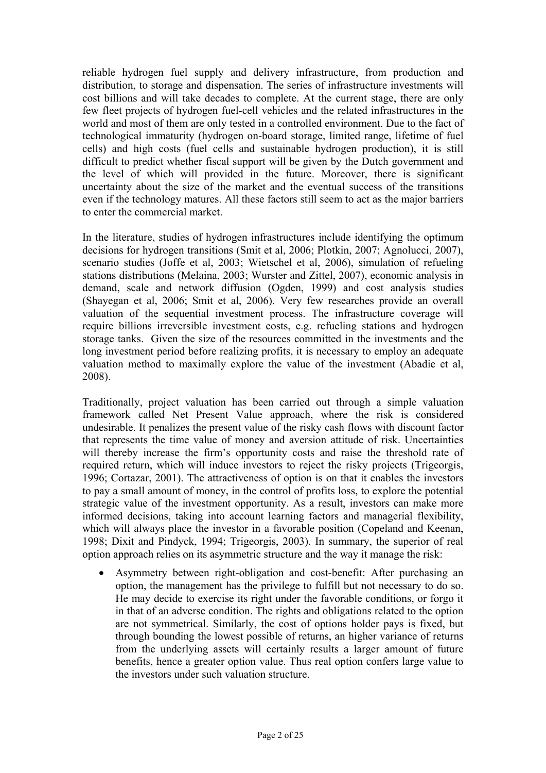reliable hydrogen fuel supply and delivery infrastructure, from production and distribution, to storage and dispensation. The series of infrastructure investments will cost billions and will take decades to complete. At the current stage, there are only few fleet projects of hydrogen fuel-cell vehicles and the related infrastructures in the world and most of them are only tested in a controlled environment. Due to the fact of technological immaturity (hydrogen on-board storage, limited range, lifetime of fuel cells) and high costs (fuel cells and sustainable hydrogen production), it is still difficult to predict whether fiscal support will be given by the Dutch government and the level of which will provided in the future. Moreover, there is significant uncertainty about the size of the market and the eventual success of the transitions even if the technology matures. All these factors still seem to act as the major barriers to enter the commercial market.

In the literature, studies of hydrogen infrastructures include identifying the optimum decisions for hydrogen transitions (Smit et al, 2006; Plotkin, 2007; Agnolucci, 2007), scenario studies (Joffe et al, 2003; Wietschel et al, 2006), simulation of refueling stations distributions (Melaina, 2003; Wurster and Zittel, 2007), economic analysis in demand, scale and network diffusion (Ogden, 1999) and cost analysis studies (Shayegan et al, 2006; Smit et al, 2006). Very few researches provide an overall valuation of the sequential investment process. The infrastructure coverage will require billions irreversible investment costs, e.g. refueling stations and hydrogen storage tanks. Given the size of the resources committed in the investments and the long investment period before realizing profits, it is necessary to employ an adequate valuation method to maximally explore the value of the investment (Abadie et al, 2008).

Traditionally, project valuation has been carried out through a simple valuation framework called Net Present Value approach, where the risk is considered undesirable. It penalizes the present value of the risky cash flows with discount factor that represents the time value of money and aversion attitude of risk. Uncertainties will thereby increase the firm's opportunity costs and raise the threshold rate of required return, which will induce investors to reject the risky projects (Trigeorgis, 1996; Cortazar, 2001). The attractiveness of option is on that it enables the investors to pay a small amount of money, in the control of profits loss, to explore the potential strategic value of the investment opportunity. As a result, investors can make more informed decisions, taking into account learning factors and managerial flexibility, which will always place the investor in a favorable position (Copeland and Keenan, 1998; Dixit and Pindyck, 1994; Trigeorgis, 2003). In summary, the superior of real option approach relies on its asymmetric structure and the way it manage the risk:

 Asymmetry between right-obligation and cost-benefit: After purchasing an option, the management has the privilege to fulfill but not necessary to do so. He may decide to exercise its right under the favorable conditions, or forgo it in that of an adverse condition. The rights and obligations related to the option are not symmetrical. Similarly, the cost of options holder pays is fixed, but through bounding the lowest possible of returns, an higher variance of returns from the underlying assets will certainly results a larger amount of future benefits, hence a greater option value. Thus real option confers large value to the investors under such valuation structure.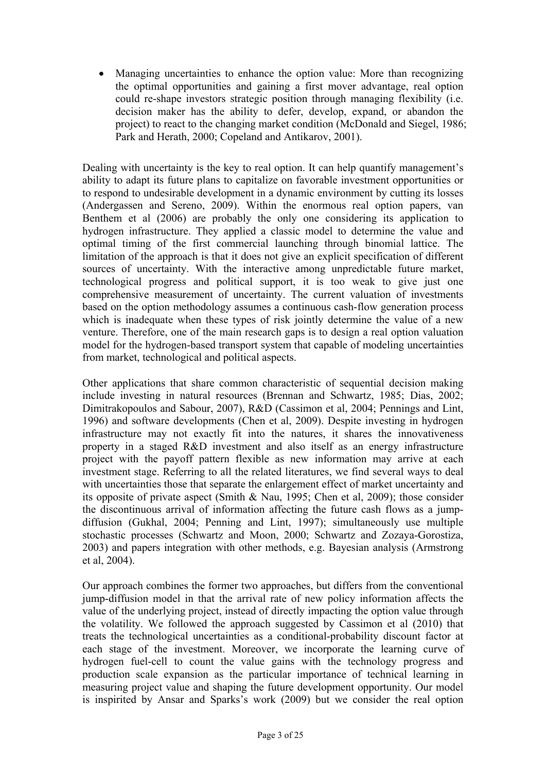Managing uncertainties to enhance the option value: More than recognizing the optimal opportunities and gaining a first mover advantage, real option could re-shape investors strategic position through managing flexibility (i.e. decision maker has the ability to defer, develop, expand, or abandon the project) to react to the changing market condition (McDonald and Siegel, 1986; Park and Herath, 2000; Copeland and Antikarov, 2001).

Dealing with uncertainty is the key to real option. It can help quantify management's ability to adapt its future plans to capitalize on favorable investment opportunities or to respond to undesirable development in a dynamic environment by cutting its losses (Andergassen and Sereno, 2009). Within the enormous real option papers, van Benthem et al (2006) are probably the only one considering its application to hydrogen infrastructure. They applied a classic model to determine the value and optimal timing of the first commercial launching through binomial lattice. The limitation of the approach is that it does not give an explicit specification of different sources of uncertainty. With the interactive among unpredictable future market, technological progress and political support, it is too weak to give just one comprehensive measurement of uncertainty. The current valuation of investments based on the option methodology assumes a continuous cash-flow generation process which is inadequate when these types of risk jointly determine the value of a new venture. Therefore, one of the main research gaps is to design a real option valuation model for the hydrogen-based transport system that capable of modeling uncertainties from market, technological and political aspects.

Other applications that share common characteristic of sequential decision making include investing in natural resources (Brennan and Schwartz, 1985; Dias, 2002; Dimitrakopoulos and Sabour, 2007), R&D (Cassimon et al, 2004; Pennings and Lint, 1996) and software developments (Chen et al, 2009). Despite investing in hydrogen infrastructure may not exactly fit into the natures, it shares the innovativeness property in a staged R&D investment and also itself as an energy infrastructure project with the payoff pattern flexible as new information may arrive at each investment stage. Referring to all the related literatures, we find several ways to deal with uncertainties those that separate the enlargement effect of market uncertainty and its opposite of private aspect (Smith & Nau, 1995; Chen et al, 2009); those consider the discontinuous arrival of information affecting the future cash flows as a jumpdiffusion (Gukhal, 2004; Penning and Lint, 1997); simultaneously use multiple stochastic processes (Schwartz and Moon, 2000; Schwartz and Zozaya-Gorostiza, 2003) and papers integration with other methods, e.g. Bayesian analysis (Armstrong et al, 2004).

Our approach combines the former two approaches, but differs from the conventional jump-diffusion model in that the arrival rate of new policy information affects the value of the underlying project, instead of directly impacting the option value through the volatility. We followed the approach suggested by Cassimon et al (2010) that treats the technological uncertainties as a conditional-probability discount factor at each stage of the investment. Moreover, we incorporate the learning curve of hydrogen fuel-cell to count the value gains with the technology progress and production scale expansion as the particular importance of technical learning in measuring project value and shaping the future development opportunity. Our model is inspirited by Ansar and Sparks's work (2009) but we consider the real option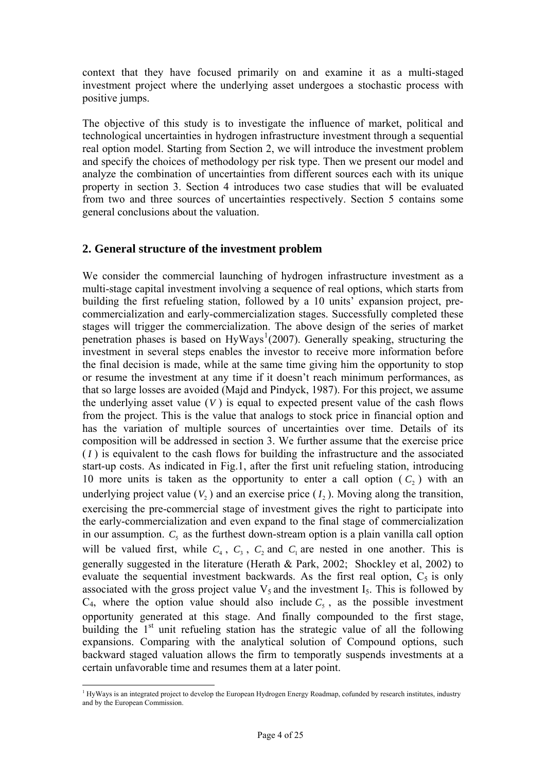context that they have focused primarily on and examine it as a multi-staged investment project where the underlying asset undergoes a stochastic process with positive jumps.

The objective of this study is to investigate the influence of market, political and technological uncertainties in hydrogen infrastructure investment through a sequential real option model. Starting from Section 2, we will introduce the investment problem and specify the choices of methodology per risk type. Then we present our model and analyze the combination of uncertainties from different sources each with its unique property in section 3. Section 4 introduces two case studies that will be evaluated from two and three sources of uncertainties respectively. Section 5 contains some general conclusions about the valuation.

### **2. General structure of the investment problem**

We consider the commercial launching of hydrogen infrastructure investment as a multi-stage capital investment involving a sequence of real options, which starts from building the first refueling station, followed by a 10 units' expansion project, precommercialization and early-commercialization stages. Successfully completed these stages will trigger the commercialization. The above design of the series of market penetration phases is based on  $HyWays<sup>1</sup>(2007)$  $HyWays<sup>1</sup>(2007)$  $HyWays<sup>1</sup>(2007)$ . Generally speaking, structuring the investment in several steps enables the investor to receive more information before the final decision is made, while at the same time giving him the opportunity to stop or resume the investment at any time if it doesn't reach minimum performances, as that so large losses are avoided (Majd and Pindyck, 1987). For this project, we assume the underlying asset value  $(V)$  is equal to expected present value of the cash flows from the project. This is the value that analogs to stock price in financial option and has the variation of multiple sources of uncertainties over time. Details of its composition will be addressed in section 3. We further assume that the exercise price  $(I)$  is equivalent to the cash flows for building the infrastructure and the associated start-up costs. As indicated in Fig.1, after the first unit refueling station, introducing 10 more units is taken as the opportunity to enter a call option  $(C_2)$  with an underlying project value  $(V_2)$  and an exercise price  $(I_2)$ . Moving along the transition, exercising the pre-commercial stage of investment gives the right to participate into the early-commercialization and even expand to the final stage of commercialization in our assumption.  $C_5$  as the furthest down-stream option is a plain vanilla call option will be valued first, while  $C_4$ ,  $C_3$ ,  $C_2$  and  $C_1$  are nested in one another. This is generally suggested in the literature (Herath & Park, 2002; Shockley et al, 2002) to evaluate the sequential investment backwards. As the first real option,  $C_5$  is only associated with the gross project value  $V_5$  and the investment  $I_5$ . This is followed by  $C_4$ , where the option value should also include  $C_5$ , as the possible investment opportunity generated at this stage. And finally compounded to the first stage, building the  $1<sup>st</sup>$  unit refueling station has the strategic value of all the following expansions. Comparing with the analytical solution of Compound options, such backward staged valuation allows the firm to temporatly suspends investments at a certain unfavorable time and resumes them at a later point.

<span id="page-3-0"></span><sup>&</sup>lt;sup>1</sup> HyWays is an integrated project to develop the European Hydrogen Energy Roadmap, cofunded by research institutes, industry and by the European Commission.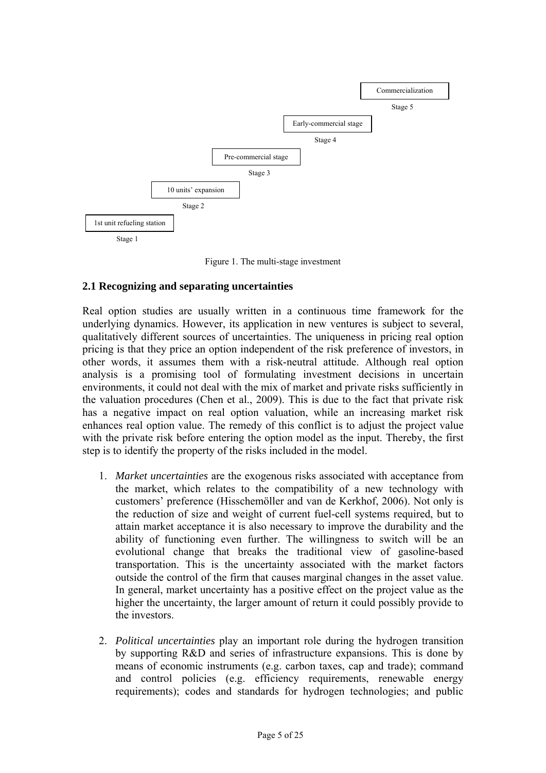

Figure 1. The multi-stage investment

## **2.1 Recognizing and separating uncertainties**

Real option studies are usually written in a continuous time framework for the underlying dynamics. However, its application in new ventures is subject to several, qualitatively different sources of uncertainties. The uniqueness in pricing real option pricing is that they price an option independent of the risk preference of investors, in other words, it assumes them with a risk-neutral attitude. Although real option analysis is a promising tool of formulating investment decisions in uncertain environments, it could not deal with the mix of market and private risks sufficiently in the valuation procedures (Chen et al., 2009). This is due to the fact that private risk has a negative impact on real option valuation, while an increasing market risk enhances real option value. The remedy of this conflict is to adjust the project value with the private risk before entering the option model as the input. Thereby, the first step is to identify the property of the risks included in the model.

- 1. *Market uncertainties* are the exogenous risks associated with acceptance from the market, which relates to the compatibility of a new technology with customers' preference (Hisschemöller and van de Kerkhof, 2006). Not only is the reduction of size and weight of current fuel-cell systems required, but to attain market acceptance it is also necessary to improve the durability and the ability of functioning even further. The willingness to switch will be an evolutional change that breaks the traditional view of gasoline-based transportation. This is the uncertainty associated with the market factors outside the control of the firm that causes marginal changes in the asset value. In general, market uncertainty has a positive effect on the project value as the higher the uncertainty, the larger amount of return it could possibly provide to the investors.
- 2. *Political uncertainties* play an important role during the hydrogen transition by supporting R&D and series of infrastructure expansions. This is done by means of economic instruments (e.g. carbon taxes, cap and trade); command and control policies (e.g. efficiency requirements, renewable energy requirements); codes and standards for hydrogen technologies; and public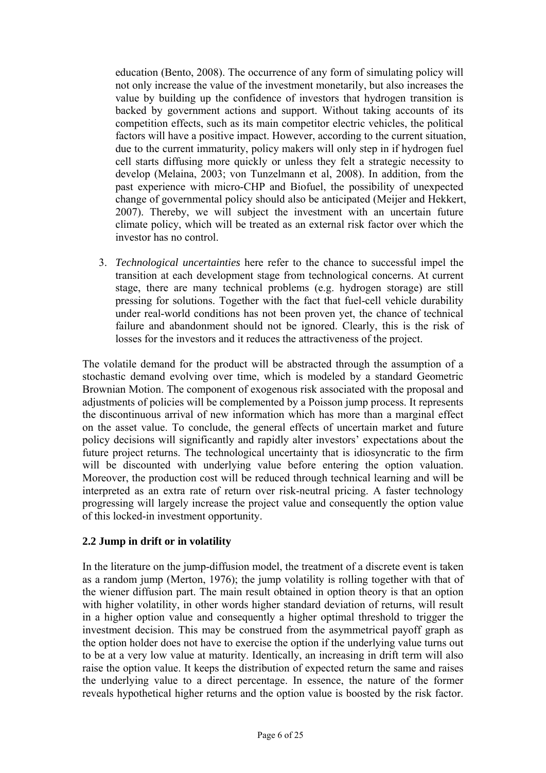education (Bento, 2008). The occurrence of any form of simulating policy will not only increase the value of the investment monetarily, but also increases the value by building up the confidence of investors that hydrogen transition is backed by government actions and support. Without taking accounts of its competition effects, such as its main competitor electric vehicles, the political factors will have a positive impact. However, according to the current situation, due to the current immaturity, policy makers will only step in if hydrogen fuel cell starts diffusing more quickly or unless they felt a strategic necessity to develop (Melaina, 2003; von Tunzelmann et al, 2008). In addition, from the past experience with micro-CHP and Biofuel, the possibility of unexpected change of governmental policy should also be anticipated (Meijer and Hekkert, 2007). Thereby, we will subject the investment with an uncertain future climate policy, which will be treated as an external risk factor over which the investor has no control.

3. *Technological uncertainties* here refer to the chance to successful impel the transition at each development stage from technological concerns. At current stage, there are many technical problems (e.g. hydrogen storage) are still pressing for solutions. Together with the fact that fuel-cell vehicle durability under real-world conditions has not been proven yet, the chance of technical failure and abandonment should not be ignored. Clearly, this is the risk of losses for the investors and it reduces the attractiveness of the project.

The volatile demand for the product will be abstracted through the assumption of a stochastic demand evolving over time, which is modeled by a standard Geometric Brownian Motion. The component of exogenous risk associated with the proposal and adjustments of policies will be complemented by a Poisson jump process. It represents the discontinuous arrival of new information which has more than a marginal effect on the asset value. To conclude, the general effects of uncertain market and future policy decisions will significantly and rapidly alter investors' expectations about the future project returns. The technological uncertainty that is idiosyncratic to the firm will be discounted with underlying value before entering the option valuation. Moreover, the production cost will be reduced through technical learning and will be interpreted as an extra rate of return over risk-neutral pricing. A faster technology progressing will largely increase the project value and consequently the option value of this locked-in investment opportunity.

## **2.2 Jump in drift or in volatility**

In the literature on the jump-diffusion model, the treatment of a discrete event is taken as a random jump (Merton, 1976); the jump volatility is rolling together with that of the wiener diffusion part. The main result obtained in option theory is that an option with higher volatility, in other words higher standard deviation of returns, will result in a higher option value and consequently a higher optimal threshold to trigger the investment decision. This may be construed from the asymmetrical payoff graph as the option holder does not have to exercise the option if the underlying value turns out to be at a very low value at maturity. Identically, an increasing in drift term will also raise the option value. It keeps the distribution of expected return the same and raises the underlying value to a direct percentage. In essence, the nature of the former reveals hypothetical higher returns and the option value is boosted by the risk factor.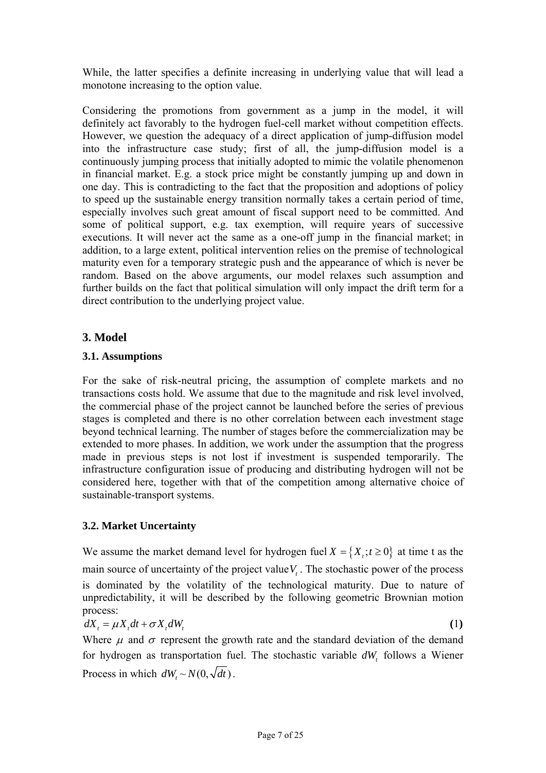While, the latter specifies a definite increasing in underlying value that will lead a monotone increasing to the option value.

Considering the promotions from government as a jump in the model, it will definitely act favorably to the hydrogen fuel-cell market without competition effects. However, we question the adequacy of a direct application of jump-diffusion model into the infrastructure case study; first of all, the jump-diffusion model is a continuously jumping process that initially adopted to mimic the volatile phenomenon in financial market. E.g. a stock price might be constantly jumping up and down in one day. This is contradicting to the fact that the proposition and adoptions of policy to speed up the sustainable energy transition normally takes a certain period of time, especially involves such great amount of fiscal support need to be committed. And some of political support, e.g. tax exemption, will require years of successive executions. It will never act the same as a one-off jump in the financial market; in addition, to a large extent, political intervention relies on the premise of technological maturity even for a temporary strategic push and the appearance of which is never be random. Based on the above arguments, our model relaxes such assumption and further builds on the fact that political simulation will only impact the drift term for a direct contribution to the underlying project value.

## **3. Model**

## **3.1. Assumptions**

For the sake of risk-neutral pricing, the assumption of complete markets and no transactions costs hold. We assume that due to the magnitude and risk level involved, the commercial phase of the project cannot be launched before the series of previous stages is completed and there is no other correlation between each investment stage beyond technical learning. The number of stages before the commercialization may be extended to more phases. In addition, we work under the assumption that the progress made in previous steps is not lost if investment is suspended temporarily. The infrastructure configuration issue of producing and distributing hydrogen will not be considered here, together with that of the competition among alternative choice of sustainable-transport systems.

## **3.2. Market Uncertainty**

We assume the market demand level for hydrogen fuel  $X = \{X_t, t \ge 0\}$  at time t as the main source of uncertainty of the project value  $V_t$ . The stochastic power of the process is dominated by the volatility of the technological maturity. Due to nature of unpredictability, it will be described by the following geometric Brownian motion process:

$$
dX_t = \mu X_t dt + \sigma X_t dW_t
$$
 (1)

Where  $\mu$  and  $\sigma$  represent the growth rate and the standard deviation of the demand for hydrogen as transportation fuel. The stochastic variable  $dW_t$  follows a Wiener Process in which  $dW_t \sim N(0, \sqrt{dt})$ .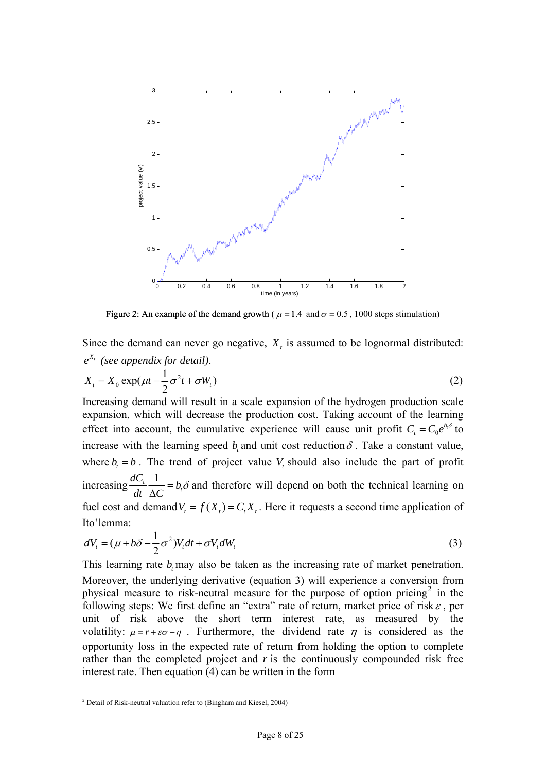

Figure 2: An example of the demand growth ( $\mu$  = 1.4 and  $\sigma$  = 0.5, 1000 steps stimulation)

Since the demand can never go negative,  $X_t$  is assumed to be lognormal distributed:  $e^{X_t}$  (see appendix for detail). 2  $X_t = X_0 \exp(\mu t - \frac{1}{2}\sigma^2 t + \sigma W_t)$  (2) Increasing demand will result in a scale expansion of the hydrogen production scale expansion, which will decrease the production cost. Taking account of the learning

effect into account, the cumulative experience will cause unit profit  $C_t = C_0 e^{b_t \delta}$  to increase with the learning speed *b*, and unit cost reduction  $\delta$ . Take a constant value, where  $b_t = b$ . The trend of project value  $V_t$  should also include the part of profit increasing  $\frac{dC_t}{dt} \frac{1}{\Delta G} = b_t$ *dC dt*  $\frac{1}{\Delta C} = b_t \delta$ fuel cost and demand  $V_t = f(X_t) = C_t X_t$ . Here it requests a second time application of and therefore will depend on both the technical learning on Ito'lemma:

$$
dV_t = (\mu + b\delta - \frac{1}{2}\sigma^2)V_t dt + \sigma V_t dW_t
$$
\n(3)

This learning rate  $b_t$  may also be taken as the increasing rate of market penetration. Moreover, the underlying derivative (equation 3) will experience a conversion from physical measure to risk-neutral measure for the purpose of option pricing<sup>[2](#page-7-0)</sup> in the following steps: We first define an "extra" rate of return, market price of risk  $\varepsilon$ , per unit of risk above the short term interest rate, as measured by the volatility:  $\mu = r + \varepsilon \sigma - \eta$ . Furthermore, the dividend rate  $\eta$  is considered as the opportunity loss in the expected rate of return from holding the option to complete rather than the completed project and *r* is the continuously compounded risk free interest rate. Then equation (4) can be written in the form

1

<span id="page-7-0"></span><sup>&</sup>lt;sup>2</sup> Detail of Risk-neutral valuation refer to (Bingham and Kiesel, 2004)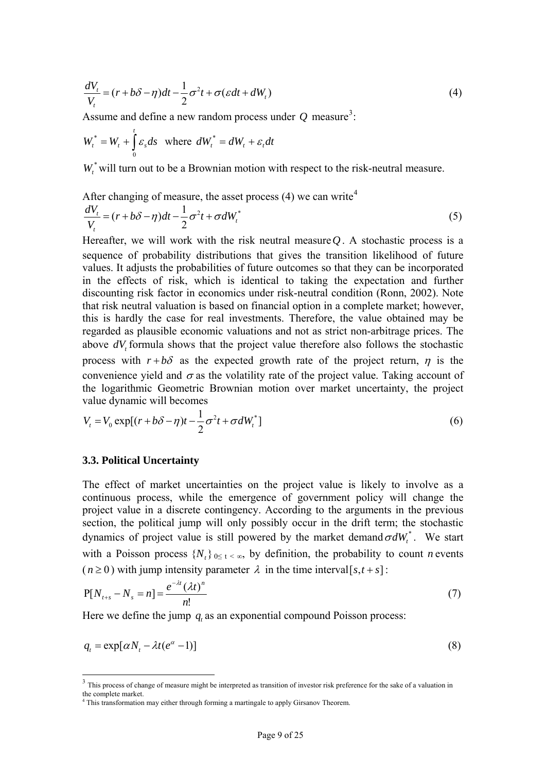$$
\frac{dV_t}{V_t} = (r + b\delta - \eta)dt - \frac{1}{2}\sigma^2 t + \sigma(\varepsilon dt + dW_t)
$$
\n(4)

Assume and define a new random process under  $Q$  measure<sup>[3](#page-8-0)</sup>:

$$
W_t^* = W_t + \int_0^t \varepsilon_s ds \text{ where } dW_t^* = dW_t + \varepsilon_t dt
$$

 $W_{\alpha}^*$  will turn out to be a Brownian motion with respect to the risk-neutral measure.

After changing of measure, the asset process  $(4)$  $(4)$  $(4)$  we can write<sup>4</sup>

$$
\frac{dV_t}{V_t} = (r + b\delta - \eta)dt - \frac{1}{2}\sigma^2 t + \sigma dW_t^*
$$
\n(5)

Hereafter, we will work with the risk neutral measure  $Q$ . A stochastic process is a sequence of probability distributions that gives the transition likelihood of future values. It adjusts the probabilities of future outcomes so that they can be incorporated in the effects of risk, which is identical to taking the expectation and further discounting risk factor in economics under risk-neutral condition (Ronn, 2002). Note that risk neutral valuation is based on financial option in a complete market; however, this is hardly the case for real investments. Therefore, the value obtained may be regarded as plausible economic valuations and not as strict non-arbitrage prices. The above  $dV$ , formula shows that the project value therefore also follows the stochastic process with  $r + b\delta$  as the expected growth rate of the project return,  $\eta$  is the convenience yield and  $\sigma$  as the volatility rate of the project value. Taking account of the logarithmic Geometric Brownian motion over market uncertainty, the project value dynamic will becomes

$$
V_t = V_0 \exp[(r + b\delta - \eta)t - \frac{1}{2}\sigma^2 t + \sigma dW_t^*]
$$
\n
$$
(6)
$$

### **3.3. Political Uncertainty**

-

The effect of market uncertainties on the project value is likely to involve as a continuous process, while the emergence of government policy will change the project value in a discrete contingency. According to the arguments in the previous section, the political jump will only possibly occur in the drift term; the stochastic dynamics of project value is still powered by the market demand  $\sigma dW_t^*$ . We start with a Poisson process  $\{N_t\}$   $\le t < \infty$ , by definition, the probability to count *n* events  $(n \ge 0)$  with jump intensity parameter  $\lambda$  in the time interval[s,t + s]:

$$
P[N_{t+s} - N_s = n] = \frac{e^{-\lambda t} (\lambda t)^n}{n!}
$$
 (7)

Here we define the jump  $q$ , as an exponential compound Poisson process:

$$
q_t = \exp[\alpha N_t - \lambda t (e^{\alpha} - 1)] \tag{8}
$$

<span id="page-8-0"></span><sup>&</sup>lt;sup>3</sup> This process of change of measure might be interpreted as transition of investor risk preference for the sake of a valuation in the complete market. 4 This transformation may either through forming a martingale to apply Girsanov Theorem.

<span id="page-8-1"></span>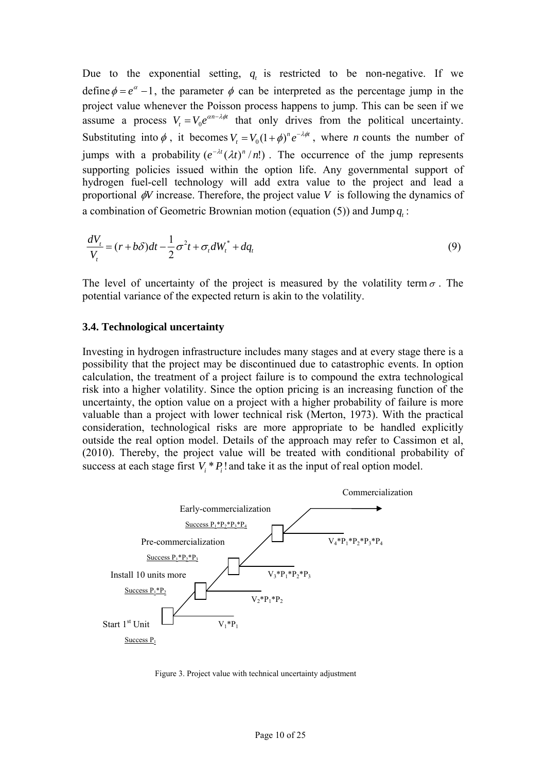Due to the exponential setting,  $q_t$  is restricted to be non-negative. If we define  $\phi = e^{\alpha} - 1$ , the parameter  $\phi$  can be interpreted as the percentage jump in the project value whenever the Poisson process happens to jump. This can be seen if we assume a process  $V_t = V_0 e^{\alpha n - \lambda \phi t}$  that only drives from the political uncertainty. Substituting into  $\phi$ , it becomes  $V_t = V_0 (1 + \phi)^n e^{-\lambda \phi t}$ , where *n* counts the number of jumps with a probability  $(e^{-\lambda t} (\lambda t)^n/n!)$ . The occurrence of the jump represents supporting policies issued within the option life. Any governmental support of hydrogen fuel-cell technology will add extra value to the project and lead a proportional  $\phi$ V increase. Therefore, the project value V is following the dynamics of a combination of Geometric Brownian motion (equation (5)) and Jump  $q_i$ :

$$
\frac{dV_t}{V_t} = (r + b\delta)dt - \frac{1}{2}\sigma^2 t + \sigma_t dW_t^* + dq_t
$$
\n(9)

The level of uncertainty of the project is measured by the volatility term  $\sigma$ . The potential variance of the expected return is akin to the volatility.

#### **3.4. Technological uncertainty**

Investing in hydrogen infrastructure includes many stages and at every stage there is a possibility that the project may be discontinued due to catastrophic events. In option calculation, the treatment of a project failure is to compound the extra technological risk into a higher volatility. Since the option pricing is an increasing function of the uncertainty, the option value on a project with a higher probability of failure is more valuable than a project with lower technical risk (Merton, 1973). With the practical consideration, technological risks are more appropriate to be handled explicitly outside the real option model. Details of the approach may refer to Cassimon et al, (2010). Thereby, the project value will be treated with conditional probability of success at each stage first  $V_i * P_i$ ! and take it as the input of real option model.



Figure 3. Project value with technical uncertainty adjustment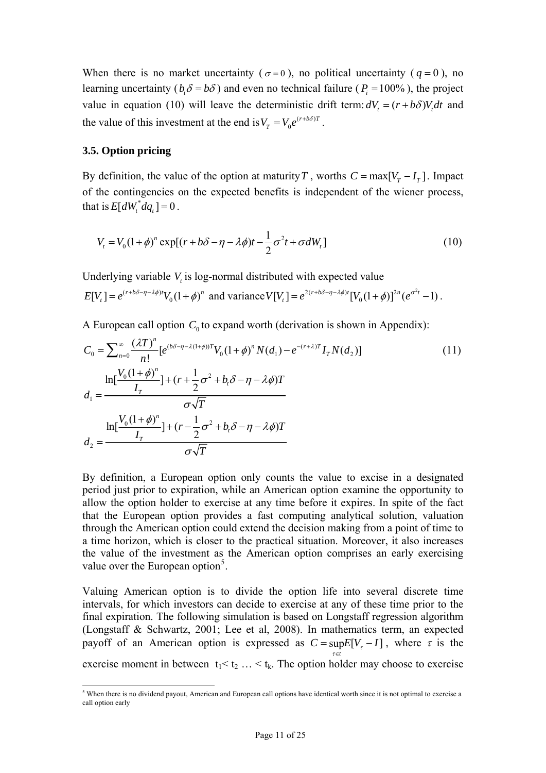When there is no market uncertainty ( $\sigma = 0$ ), no political uncertainty ( $q = 0$ ), no learning uncertainty ( $b_i \delta = b\delta$ ) and even no technical failure ( $P_i = 100\%$ ), the project value in equation (10) will leave the deterministic drift term:  $dV = (r + b\delta)V_t dt$  and the value of this investment at the end is  $V_T = V_0 e^{(r+b\delta)T}$ .

### **3.5. Option pricing**

By definition, the value of the option at maturity *T*, worths  $C = \max[V_r - I_r]$ . Impact of the contingencies on the expected benefits is independent of the wiener process, that is  $E[dW^*_{t} dq_{t}] = 0$ .

$$
V_t = V_0(1+\phi)^n \exp[(r+b\delta-\eta-\lambda\phi)t-\frac{1}{2}\sigma^2t+\sigma dW_t]
$$
\n(10)

Underlying variable  $V_t$  is log-normal distributed with expected value

$$
E[V_t] = e^{(r+b\delta - \eta - \lambda\phi)t}V_0(1+\phi)^n
$$
 and variance  $V[V_t] = e^{2(r+b\delta - \eta - \lambda\phi)t}[V_0(1+\phi)]^{2n}(e^{\sigma^2t} - 1)$ .

A European call option  $C_0$  to expand worth (derivation is shown in Appendix):

$$
C_0 = \sum_{n=0}^{\infty} \frac{(\lambda T)^n}{n!} [e^{(b\delta - \eta - \lambda(1+\phi))^T} V_0 (1+\phi)^n N(d_1) - e^{-(r+\lambda)T} I_T N(d_2)]
$$
\n
$$
d_1 = \frac{\ln[\frac{V_0 (1+\phi)^n}{I_T}] + (r+\frac{1}{2}\sigma^2 + b_t \delta - \eta - \lambda \phi) T}{\sigma \sqrt{T}}
$$
\n
$$
d_2 = \frac{\ln[\frac{V_0 (1+\phi)^n}{I_T}] + (r-\frac{1}{2}\sigma^2 + b_t \delta - \eta - \lambda \phi) T}{\sigma \sqrt{T}}
$$
\n(11)

By definition, a European option only counts the value to excise in a designated period just prior to expiration, while an American option examine the opportunity to allow the option holder to exercise at any time before it expires. In spite of the fact that the European option provides a fast computing analytical solution, valuation through the American option could extend the decision making from a point of time to a time horizon, which is closer to the practical situation. Moreover, it also increases the value of the investment as the American option comprises an early exercising value over the European option<sup>[5](#page-10-0)</sup>.

Valuing American option is to divide the option life into several discrete time intervals, for which investors can decide to exercise at any of these time prior to the final expiration. The following simulation is based on Longstaff regression algorithm (Longstaff & Schwartz, 2001; Lee et al, 2008). In mathematics term, an expected payoff of an American option is expressed as  $C = \sup E [V_{\tau} - I]$ , where  $\tau$  is the *t*  $\tau \in$ 

exercise moment in between  $t_1 < t_2 ... < t_k$ . The option holder may choose to exercise

<span id="page-10-0"></span> $5$  When there is no dividend payout, American and European call options have identical worth since it is not optimal to exercise a call option early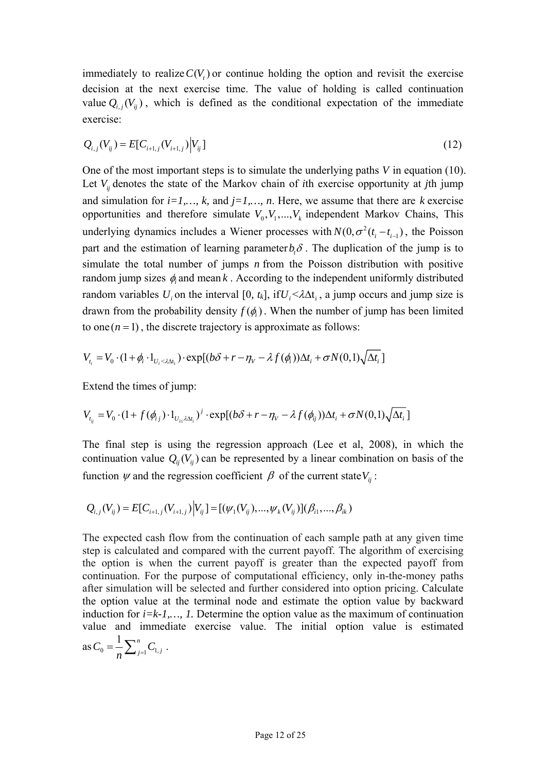immediately to realize  $C(V<sub>t</sub>)$  or continue holding the option and revisit the exercise decision at the next exercise time. The value of holding is called continuation value  $Q_{i,j}(V_{ij})$ , which is defined as the conditional expectation of the immediate exercise:

$$
Q_{i,j}(V_{ij}) = E[C_{i+1,j}(V_{i+1,j})|V_{ij}]
$$
\n(12)

Let  $V_{ij}$  denotes the state of the Markov chain of *i*th exercise opportunity at *j*th jump One of the most important steps is to simulate the underlying paths *V* in equation (10). and simulation for  $i=1,\ldots, k$ , and  $j=1,\ldots, n$ . Here, we assume that there are  $k$  exercise opportunities and therefore simulate  $V_0, V_1, \ldots, V_k$  independent Markov Chains, This underlying dynamics includes a Wiener processes with  $N(0, \sigma^2(t_i - t_{i-1}))$ , the Poisson part and the estimation of learning parameter  $b_i \delta$ . The duplication of the jump is to simulate the total number of jumps *n* from the Poisson distribution with positive random jump sizes  $\phi_i$  and mean  $k$ . According to the independent uniformly distributed random variables  $U_i$  on the interval [0,  $t_k$ ], if  $U_i < \lambda \Delta t_i$ , a jump occurs and jump size is drawn from the probability density  $f(\phi)$ . When the number of jump has been limited to one  $(n = 1)$ , the discrete trajectory is approximate as follows:

$$
V_{t_i} = V_0 \cdot (1 + \phi_i \cdot 1_{U_i < \lambda \Delta t_i}) \cdot \exp[(b\delta + r - \eta_V - \lambda f(\phi_i))\Delta t_i + \sigma N(0, 1)\sqrt{\Delta t_i}]
$$

Extend the times of jump:

$$
V_{t_{ij}} = V_0 \cdot (1 + f(\phi_{i,j}) \cdot 1_{U_{i \le \lambda \Delta t_i}})^j \cdot \exp[(b\delta + r - \eta_V - \lambda f(\phi_{i,j}))\Delta t_i + \sigma N(0,1)\sqrt{\Delta t_i}]
$$

continuation value  $Q_{ij}(V_{ij})$  can be represented by a linear combination on basis of the The final step is using the regression approach (Lee et al, 2008), in which the function  $\psi$  and the regression coefficient  $\beta$  of the current state  $V_{ij}$ :

$$
Q_{i,j}(V_{ij}) = E[C_{i+1,j}(V_{i+1,j})|V_{ij}] = [(\psi_1(V_{ij}),...,\psi_k(V_{ij})](\beta_{i1},...,\beta_{ik}))
$$

The expected cash flow from the continuation of each sample path at any given time step is calculated and compared with the current payoff. The algorithm of exercising the option is when the current payoff is greater than the expected payoff from continuation. For the purpose of computational efficiency, only in-the-money paths after simulation will be selected and further considered into option pricing. Calculate the option value at the terminal node and estimate the option value by backward induction for *i=k-1,…, 1.* Determine the option value as the maximum of continuation value and immediate exercise value. The initial option value is estimated as  $C_0 = \frac{1}{n} \sum_{j=1}^n C_1$  $C_0 = \frac{1}{n} \sum_{j=1}^n C_{1,j}$ .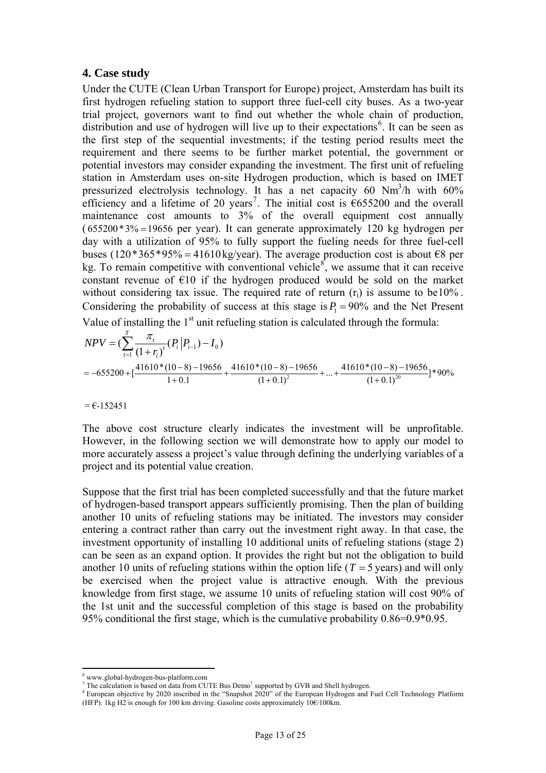### **4. Case study**

Under the CUTE (Clean Urban Transport for Europe) project, Amsterdam has built its first hydrogen refueling station to support three fuel-cell city buses. As a two-year trial project, governors want to find out whether the whole chain of production, distribution and use of hydrogen will live up to their expectations<sup>[6](#page-12-0)</sup>. It can be seen as the first step of the sequential investments; if the testing period results meet the requirement and there seems to be further market potential, the government or potential investors may consider expanding the investment. The first unit of refueling station in Amsterdam uses on-site Hydrogen production, which is based on IMET pressurized electrolysis technology. It has a net capacity 60 Nm<sup>3</sup>/h with 60% efficiency and a lifetime of 20 years<sup>[7](#page-12-1)</sup>. The initial cost is  $\epsilon$ 655200 and the overall maintenance cost amounts to 3% of the overall equipment cost annually  $(655200*3\% = 19656$  per year). It can generate approximately 120 kg hydrogen per day with a utilization of 95% to fully support the fueling needs for three fuel-cell buses (120 \* 365 \* 95% = 41610 kg/year). The average production cost is about €8 per kg. To remain competitive with conventional vehicle<sup>[8](#page-12-2)</sup>, we assume that it can receive constant revenue of  $E10$  if the hydrogen produced would be sold on the market without considering tax issue. The required rate of return  $(r_i)$  is assume to be10%. Considering the probability of success at this stage is  $P_1 = 90\%$  and the Net Present Value of installing the  $1<sup>st</sup>$  unit refueling station is calculated through the formula:

$$
NPV = (\sum_{t=1}^{T} \frac{\pi_t}{(1+r_t)^t} (P_t | P_{t-1}) - I_0)
$$
  
= -655200 +  $\left[ \frac{41610*(10-8) - 19656}{1+0.1} + \frac{41610*(10-8) - 19656}{(1+0.1)^2} + \dots + \frac{41610*(10-8) - 19656}{(1+0.1)^{20}} \right] * 90\%$ 

 $= 6 - 152451$ 

The above cost structure clearly indicates the investment will be unprofitable. However, in the following section we will demonstrate how to apply our model to more accurately assess a project's value through defining the underlying variables of a project and its potential value creation.

Suppose that the first trial has been completed successfully and that the future market of hydrogen-based transport appears sufficiently promising. Then the plan of building another 10 units of refueling stations may be initiated. The investors may consider entering a contract rather than carry out the investment right away. In that case, the investment opportunity of installing 10 additional units of refueling stations (stage 2) can be seen as an expand option. It provides the right but not the obligation to build another 10 units of refueling stations within the option life ( $T = 5$  years) and will only be exercised when the project value is attractive enough. With the previous knowledge from first stage, we assume 10 units of refueling station will cost 90% of the 1st unit and the successful completion of this stage is based on the probability 95% conditional the first stage, which is the cumulative probability 0.86=0.9\*0.95.

 $\overline{a}$ 

<sup>6</sup> www.global-hydrogen-bus-platform.com

<span id="page-12-0"></span>The calculation is based on data from CUTE Bus Demo<sup>7</sup> supported by GVB and Shell hydrogen.<br><sup>8</sup> European chiestive by 2020 inceribed in the "Spanshet 2020" of the European Hydrogen and I

<span id="page-12-2"></span><span id="page-12-1"></span><sup>&</sup>lt;sup>8</sup> European objective by 2020 inscribed in the "Snapshot 2020" of the European Hydrogen and Fuel Cell Technology Platform (HFP). 1kg H2 is enough for 100 km driving. Gasoline costs approximately 10€/100km.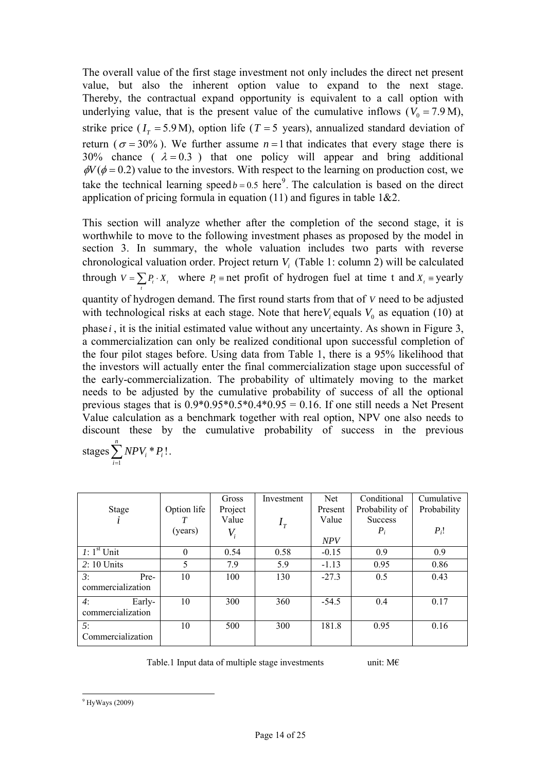The overall value of the first stage investment not only includes the direct net present value, but also the inherent option value to expand to the next stage. Thereby, the contractual expand opportunity is equivalent to a call option with underlying value, that is the present value of the cumulative inflows ( $V_0 = 7.9$  M), strike price  $(I<sub>T</sub> = 5.9 M)$ , option life (*T* = 5 years), annualized standard deviation of return ( $\sigma = 30\%$ ). We further assume  $n = 1$  that indicates that every stage there is 30% chance  $(\lambda = 0.3)$  that one policy will appear and bring additional  $\phi V(\phi = 0.2)$  value to the investors. With respect to the learning on production cost, we take the technical learning speed  $b = 0.5$  here<sup>[9](#page-13-0)</sup>. The calculation is based on the direct application of pricing formula in equation (11) and figures in table  $1&&2.$ 

This section will analyze whether after the completion of the second stage, it is worthwhile to move to the following investment phases as proposed by the model in section 3. In summary, the whole valuation includes two parts with reverse chronological valuation order. Project return  $V_i$  (Table 1: column 2) will be calculated through  $V = \sum_{i} P_i \cdot X_i$ , where  $P_i$  and profit of hydrogen fuel at time t and  $X_i$  are yearly quantity of hydrogen demand. The first round starts from that of *V* need to be adjusted with technological risks at each stage. Note that here  $V_i$  equals  $V_0$  as equation (10) at phase *i* , it is the initial estimated value without any uncertainty. As shown in Figure 3, a commercialization can only be realized conditional upon successful completion of the four pilot stages before. Using data from Table 1, there is a 95% likelihood that the investors will actually enter the final commercialization stage upon successful of the early-commercialization. The probability of ultimately moving to the market needs to be adjusted by the cumulative probability of success of all the optional previous stages that is  $0.9*0.95*0.5*0.4*0.95 = 0.16$ . If one still needs a Net Present Value calculation as a benchmark together with real option, NPV one also needs to discount these by the cumulative probability of success in the previous

stages 
$$
\sum_{i=1}^{n} NPV_i * P_i!.
$$

|                   |             | Gross                      | Investment | Net.       | Conditional    | Cumulative  |
|-------------------|-------------|----------------------------|------------|------------|----------------|-------------|
| Stage             | Option life | Project                    |            | Present    | Probability of | Probability |
|                   |             | Value                      | $I_{\tau}$ | Value      | <b>Success</b> |             |
|                   | (years)     | $V_{\scriptscriptstyle i}$ |            |            | $P_i$          | $P_i!$      |
|                   |             |                            |            | <b>NPV</b> |                |             |
| $I: 1st$ Unit     | $\theta$    | 0.54                       | 0.58       | $-0.15$    | 0.9            | 0.9         |
| $2:10$ Units      | 5           | 7.9                        | 5.9        | $-1.13$    | 0.95           | 0.86        |
| 3:<br>Pre-        | 10          | 100                        | 130        | $-27.3$    | 0.5            | 0.43        |
| commercialization |             |                            |            |            |                |             |
| 4:<br>Early-      | 10          | 300                        | 360        | $-54.5$    | 0.4            | 0.17        |
| commercialization |             |                            |            |            |                |             |
| 5:                | 10          | 500                        | 300        | 181.8      | 0.95           | 0.16        |
| Commercialization |             |                            |            |            |                |             |

Table.1 Input data of multiple stage investments unit:  $M \in$ 

<span id="page-13-0"></span> $\overline{a}$  $9$  HyWays (2009)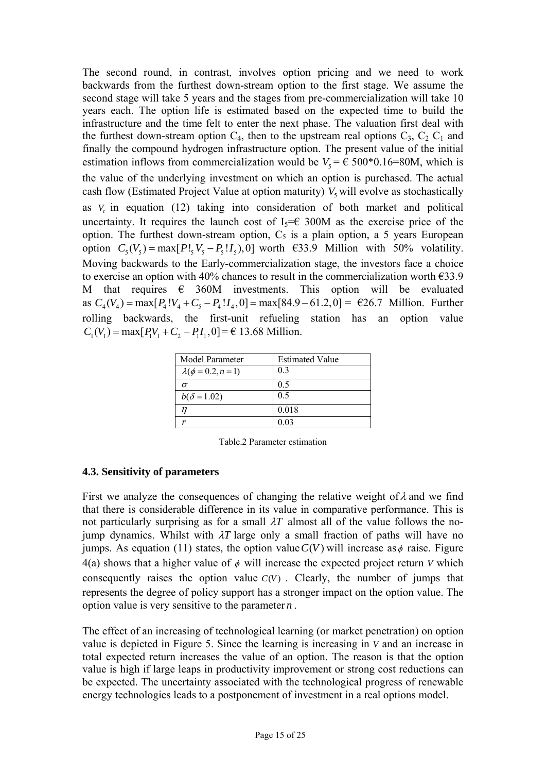The second round, in contrast, involves option pricing and we need to work backwards from the furthest down-stream option to the first stage. We assume the second stage will take 5 years and the stages from pre-commercialization will take 10 years each. The option life is estimated based on the expected time to build the infrastructure and the time felt to enter the next phase. The valuation first deal with the furthest down-stream option  $C_4$ , then to the upstream real options  $C_3$ ,  $C_2$ ,  $C_1$  and finally the compound hydrogen infrastructure option. The present value of the initial estimation inflows from commercialization would be  $V_5 = \epsilon$  500 $*$ 0.16=80M, which is the value of the underlying investment on which an option is purchased. The actual cash flow (Estimated Project Value at option maturity)  $V_5$  will evolve as stochastically as  $V_t$  in equation (12) taking into consideration of both market and political uncertainty. It requires the launch cost of  $I_5 = \epsilon$  300M as the exercise price of the option. The furthest down-stream option,  $C_5$  is a plain option, a 5 years European option  $C_5(V_5) = \max[P!_5V_5 - P_5!I_5]$ , 0] worth  $\epsilon$ 33.9 Million with 50% volatility. Moving backwards to the Early-commercialization stage, the investors face a choice to exercise an option with 40% chances to result in the commercialization worth  $\epsilon$ 33.9 M that requires  $\epsilon$  360M investments. This option will be evaluated as  $C_4(V_4) = \max[P_4!V_4 + C_5 - P_4!I_4, 0] = \max[84.9 - 61.2, 0] = \text{\textsterling}26.7 \text{ Million. Further}$ rolling backwards, the first-unit refueling station has an option value  $C_1(V_1) = \max[P_1V_1 + C_2 - P_1I_1, 0] = \text{\textsterling} 13.68 \text{ million.}$ 

| Model Parameter          | <b>Estimated Value</b> |
|--------------------------|------------------------|
| $\lambda(\phi=0.2, n=1)$ | 0.3                    |
| ᡴ                        | 0.5                    |
| $b(\delta = 1.02)$       | 0.5                    |
|                          | 0.018                  |
|                          | 0.03                   |

Table.2 Parameter estimation

## **4.3. Sensitivity of parameters**

First we analyze the consequences of changing the relative weight of  $\lambda$  and we find that there is considerable difference in its value in comparative performance. This is not particularly surprising as for a small  $\lambda T$  almost all of the value follows the nojump dynamics. Whilst with  $\lambda T$  large only a small fraction of paths will have no jumps. As equation (11) states, the option value  $C(V)$  will increase as  $\phi$  raise. Figure  $4(a)$  shows that a higher value of  $\phi$  will increase the expected project return V which consequently raises the option value  $C(V)$ . Clearly, the number of jumps that represents the degree of policy support has a stronger impact on the option value. The option value is very sensitive to the parameter  $n$ .

The effect of an increasing of technological learning (or market penetration) on option value is depicted in Figure 5. Since the learning is increasing in *V* and an increase in total expected return increases the value of an option. The reason is that the option value is high if large leaps in productivity improvement or strong cost reductions can be expected. The uncertainty associated with the technological progress of renewable energy technologies leads to a postponement of investment in a real options model.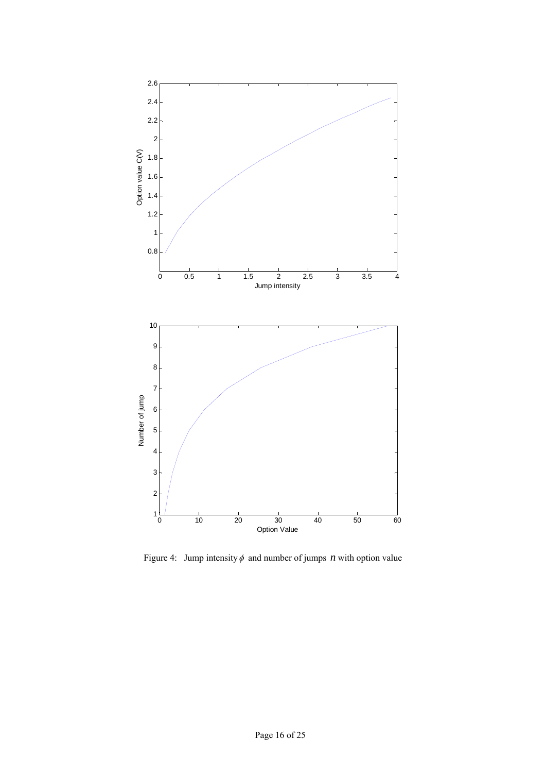

Figure 4: Jump intensity  $\phi$  and number of jumps *n* with option value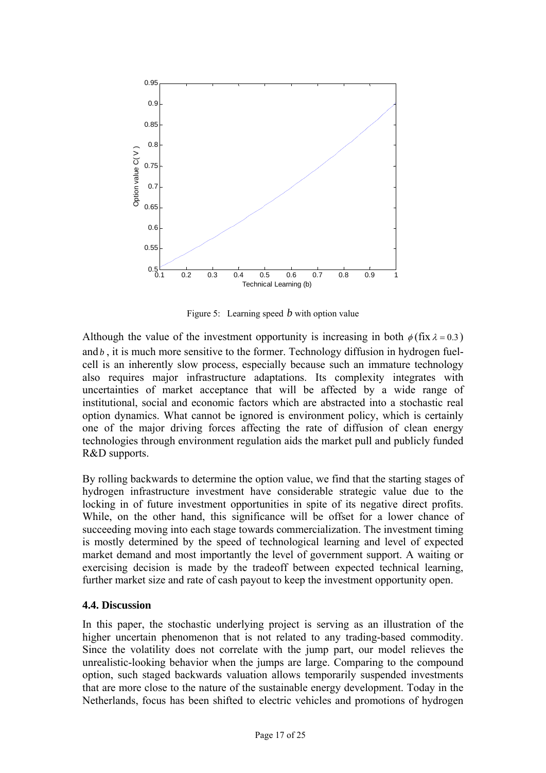

Figure 5: Learning speed *b* with option value

Although the value of the investment opportunity is increasing in both  $\phi$  (fix  $\lambda = 0.3$ ) and *, it is much more sensitive to the former. Technology diffusion in hydrogen fuel*cell is an inherently slow process, especially because such an immature technology also requires major infrastructure adaptations. Its complexity integrates with uncertainties of market acceptance that will be affected by a wide range of institutional, social and economic factors which are abstracted into a stochastic real option dynamics. What cannot be ignored is environment policy, which is certainly one of the major driving forces affecting the rate of diffusion of clean energy technologies through environment regulation aids the market pull and publicly funded R&D supports.

By rolling backwards to determine the option value, we find that the starting stages of hydrogen infrastructure investment have considerable strategic value due to the locking in of future investment opportunities in spite of its negative direct profits. While, on the other hand, this significance will be offset for a lower chance of succeeding moving into each stage towards commercialization. The investment timing is mostly determined by the speed of technological learning and level of expected market demand and most importantly the level of government support. A waiting or exercising decision is made by the tradeoff between expected technical learning, further market size and rate of cash payout to keep the investment opportunity open.

### **4.4. Discussion**

In this paper, the stochastic underlying project is serving as an illustration of the higher uncertain phenomenon that is not related to any trading-based commodity. Since the volatility does not correlate with the jump part, our model relieves the unrealistic-looking behavior when the jumps are large. Comparing to the compound option, such staged backwards valuation allows temporarily suspended investments that are more close to the nature of the sustainable energy development. Today in the Netherlands, focus has been shifted to electric vehicles and promotions of hydrogen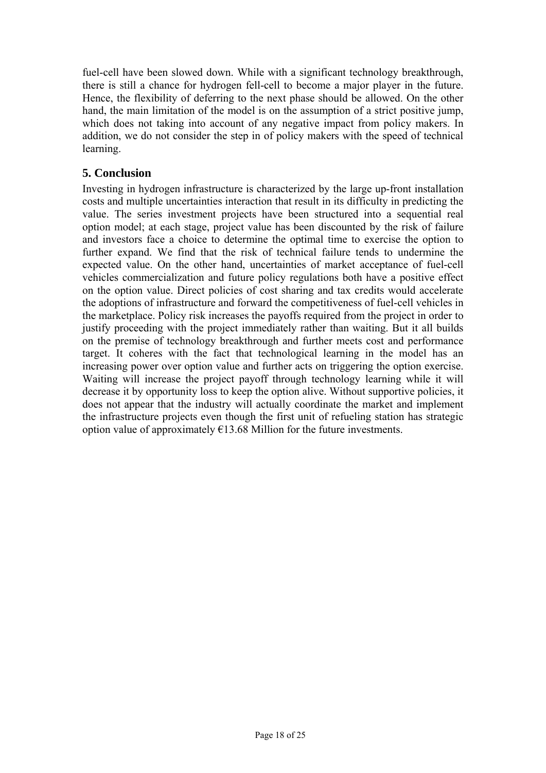fuel-cell have been slowed down. While with a significant technology breakthrough, there is still a chance for hydrogen fell-cell to become a major player in the future. Hence, the flexibility of deferring to the next phase should be allowed. On the other hand, the main limitation of the model is on the assumption of a strict positive jump, which does not taking into account of any negative impact from policy makers. In addition, we do not consider the step in of policy makers with the speed of technical learning.

## **5. Conclusion**

Investing in hydrogen infrastructure is characterized by the large up-front installation costs and multiple uncertainties interaction that result in its difficulty in predicting the value. The series investment projects have been structured into a sequential real option model; at each stage, project value has been discounted by the risk of failure and investors face a choice to determine the optimal time to exercise the option to further expand. We find that the risk of technical failure tends to undermine the expected value. On the other hand, uncertainties of market acceptance of fuel-cell vehicles commercialization and future policy regulations both have a positive effect on the option value. Direct policies of cost sharing and tax credits would accelerate the adoptions of infrastructure and forward the competitiveness of fuel-cell vehicles in the marketplace. Policy risk increases the payoffs required from the project in order to justify proceeding with the project immediately rather than waiting. But it all builds on the premise of technology breakthrough and further meets cost and performance target. It coheres with the fact that technological learning in the model has an increasing power over option value and further acts on triggering the option exercise. Waiting will increase the project payoff through technology learning while it will decrease it by opportunity loss to keep the option alive. Without supportive policies, it does not appear that the industry will actually coordinate the market and implement the infrastructure projects even though the first unit of refueling station has strategic option value of approximately  $E13.68$  Million for the future investments.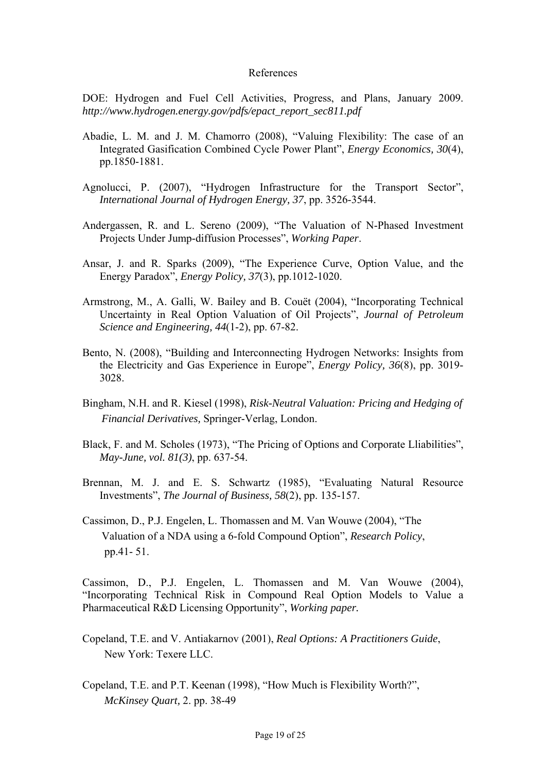#### References

DOE: Hydrogen and Fuel Cell Activities, Progress, and Plans, January 2009. *http://www.hydrogen.energy.gov/pdfs/epact\_report\_sec811.pdf*

- Abadie, L. M. and J. M. Chamorro (2008), "Valuing Flexibility: The case of an Integrated Gasification Combined Cycle Power Plant", *Energy Economics, 30*(4), pp.1850-1881.
- Agnolucci, P. (2007), "Hydrogen Infrastructure for the Transport Sector", *International Journal of Hydrogen Energy, 37*, pp. 3526-3544.
- Andergassen, R. and L. Sereno (2009), "The Valuation of N-Phased Investment Projects Under Jump-diffusion Processes", *Working Paper*.
- Ansar, J. and R. Sparks (2009), "The Experience Curve, Option Value, and the Energy Paradox", *Energy Policy, 37*(3), pp.1012-1020.
- Armstrong, M., A. Galli, W. Bailey and B. Couët (2004), "Incorporating Technical Uncertainty in Real Option Valuation of Oil Projects", *Journal of Petroleum Science and Engineering, 44*(1-2), pp. 67-82.
- Bento, N. (2008), "Building and Interconnecting Hydrogen Networks: Insights from the Electricity and Gas Experience in Europe", *Energy Policy, 36*(8), pp. 3019- 3028.
- Bingham, N.H. and R. Kiesel (1998), *Risk-Neutral Valuation: Pricing and Hedging of Financial Derivatives,* Springer-Verlag, London.
- Black, F. and M. Scholes (1973), "The Pricing of Options and Corporate Lliabilities", *May-June, vol. 81(3)*, pp. 637-54.
- Brennan, M. J. and E. S. Schwartz (1985), "Evaluating Natural Resource Investments", *The Journal of Business, 58*(2), pp. 135-157.
- Cassimon, D., P.J. Engelen, L. Thomassen and M. Van Wouwe (2004), "The Valuation of a NDA using a 6-fold Compound Option", *Research Policy*, pp.41- 51.

Cassimon, D., P.J. Engelen, L. Thomassen and M. Van Wouwe (2004), "Incorporating Technical Risk in Compound Real Option Models to Value a Pharmaceutical R&D Licensing Opportunity", *Working paper.*

- Copeland, T.E. and V. Antiakarnov (2001), *Real Options: A Practitioners Guide*, New York: Texere LLC.
- Copeland, T.E. and P.T. Keenan (1998), "How Much is Flexibility Worth?", *McKinsey Quart,* 2. pp. 38-49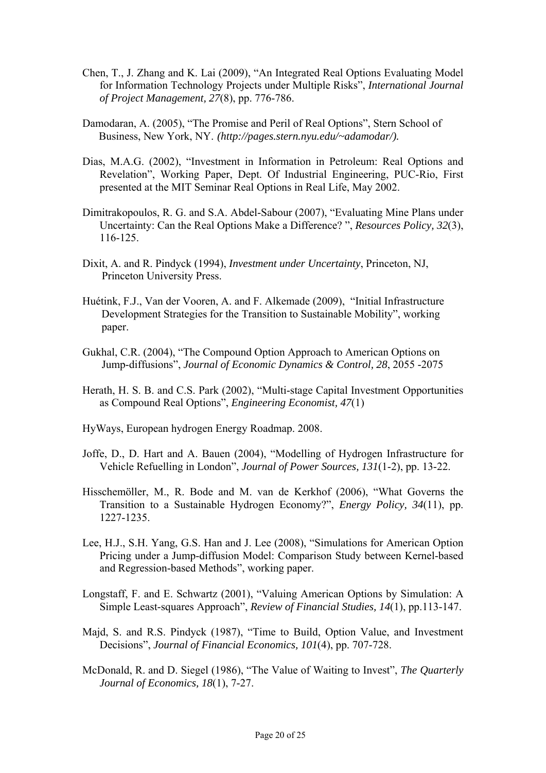- Chen, T., J. Zhang and K. Lai (2009), "An Integrated Real Options Evaluating Model for Information Technology Projects under Multiple Risks", *International Journal of Project Management, 27*(8), pp. 776-786.
- Damodaran, A. (2005), "The Promise and Peril of Real Options", Stern School of Business, New York, NY. *(http://pages.stern.nyu.edu/~adamodar/).*
- Dias, M.A.G. (2002), "Investment in Information in Petroleum: Real Options and Revelation", Working Paper, Dept. Of Industrial Engineering, PUC-Rio, First presented at the MIT Seminar Real Options in Real Life, May 2002.
- Dimitrakopoulos, R. G. and S.A. Abdel-Sabour (2007), "Evaluating Mine Plans under Uncertainty: Can the Real Options Make a Difference? ", *Resources Policy, 32*(3), 116-125.
- Dixit, A. and R. Pindyck (1994), *Investment under Uncertainty*, Princeton, NJ, Princeton University Press.
- Huétink, F.J., Van der Vooren, A. and F. Alkemade (2009), "Initial Infrastructure Development Strategies for the Transition to Sustainable Mobility", working paper.
- Gukhal, C.R. (2004), "The Compound Option Approach to American Options on Jump-diffusions", *Journal of Economic Dynamics & Control, 28*, 2055 -2075
- Herath, H. S. B. and C.S. Park (2002), "Multi-stage Capital Investment Opportunities as Compound Real Options", *Engineering Economist, 47*(1)
- HyWays, European hydrogen Energy Roadmap. 2008.
- Joffe, D., D. Hart and A. Bauen (2004), "Modelling of Hydrogen Infrastructure for Vehicle Refuelling in London", *Journal of Power Sources, 131*(1-2), pp. 13-22.
- Hisschemöller, M., R. Bode and M. van de Kerkhof (2006), "What Governs the Transition to a Sustainable Hydrogen Economy?", *Energy Policy, 34*(11), pp. 1227-1235.
- Lee, H.J., S.H. Yang, G.S. Han and J. Lee (2008), "Simulations for American Option Pricing under a Jump-diffusion Model: Comparison Study between Kernel-based and Regression-based Methods", working paper.
- Longstaff, F. and E. Schwartz (2001), "Valuing American Options by Simulation: A Simple Least-squares Approach", *Review of Financial Studies, 14*(1), pp.113-147.
- Majd, S. and R.S. Pindyck (1987), "Time to Build, Option Value, and Investment Decisions", *Journal of Financial Economics, 101*(4), pp. 707-728.
- McDonald, R. and D. Siegel (1986), "The Value of Waiting to Invest", *The Quarterly Journal of Economics, 18*(1), 7-27.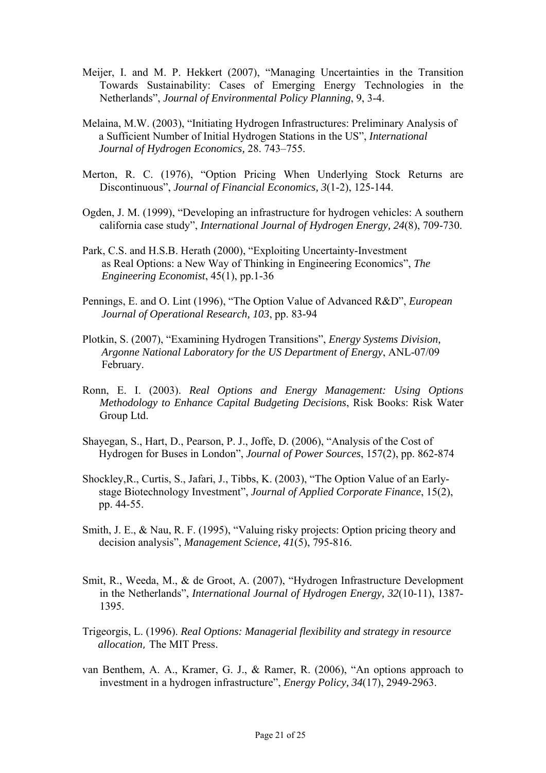- Meijer, I. and M. P. Hekkert (2007), "Managing Uncertainties in the Transition Towards Sustainability: Cases of Emerging Energy Technologies in the Netherlands", *Journal of Environmental Policy Planning*, 9, 3-4.
- Melaina, M.W. (2003), "Initiating Hydrogen Infrastructures: Preliminary Analysis of a Sufficient Number of Initial Hydrogen Stations in the US", *International Journal of Hydrogen Economics,* 28. 743–755.
- Merton, R. C. (1976), "Option Pricing When Underlying Stock Returns are Discontinuous", *Journal of Financial Economics, 3*(1-2), 125-144.
- Ogden, J. M. (1999), "Developing an infrastructure for hydrogen vehicles: A southern california case study", *International Journal of Hydrogen Energy, 24*(8), 709-730.
- Park, C.S. and H.S.B. Herath (2000), "Exploiting Uncertainty-Investment as Real Options: a New Way of Thinking in Engineering Economics", *The Engineering Economist*, 45(1), pp.1-36
- Pennings, E. and O. Lint (1996), "The Option Value of Advanced R&D", *European Journal of Operational Research, 103*, pp. 83-94
- Plotkin, S. (2007), "Examining Hydrogen Transitions", *Energy Systems Division, Argonne National Laboratory for the US Department of Energy*, ANL-07/09 February.
- Ronn, E. I. (2003). *Real Options and Energy Management: Using Options Methodology to Enhance Capital Budgeting Decisions*, Risk Books: Risk Water Group Ltd.
- Shayegan, S., Hart, D., Pearson, P. J., Joffe, D. (2006), "Analysis of the Cost of Hydrogen for Buses in London", *Journal of Power Sources*, 157(2), pp. 862-874
- Shockley,R., Curtis, S., Jafari, J., Tibbs, K. (2003), "The Option Value of an Early stage Biotechnology Investment", *Journal of Applied Corporate Finance*, 15(2), pp. 44-55.
- Smith, J. E., & Nau, R. F. (1995), "Valuing risky projects: Option pricing theory and decision analysis", *Management Science, 41*(5), 795-816.
- Smit, R., Weeda, M., & de Groot, A. (2007), "Hydrogen Infrastructure Development in the Netherlands", *International Journal of Hydrogen Energy, 32*(10-11), 1387- 1395.
- Trigeorgis, L. (1996). *Real Options: Managerial flexibility and strategy in resource allocation*, The MIT Press.
- van Benthem, A. A., Kramer, G. J., & Ramer, R. (2006), "An options approach to investment in a hydrogen infrastructure", *Energy Policy, 34*(17), 2949-2963.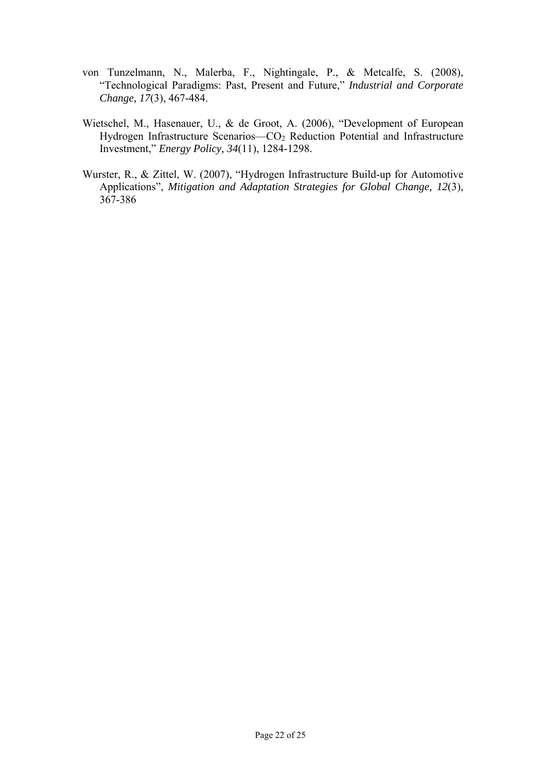- von Tunzelmann, N., Malerba, F., Nightingale, P., & Metcalfe, S. (2008), "Technological Paradigms: Past, Present and Future," *Industrial and Corporate Change, 17*(3), 467-484.
- Wietschel, M., Hasenauer, U., & de Groot, A. (2006), "Development of European Hydrogen Infrastructure Scenarios—CO<sub>2</sub> Reduction Potential and Infrastructure Investment," *Energy Policy, 34*(11), 1284-1298.
- Wurster, R., & Zittel, W. (2007), "Hydrogen Infrastructure Build-up for Automotive Applications", *Mitigation and Adaptation Strategies for Global Change, 12*(3), 367-386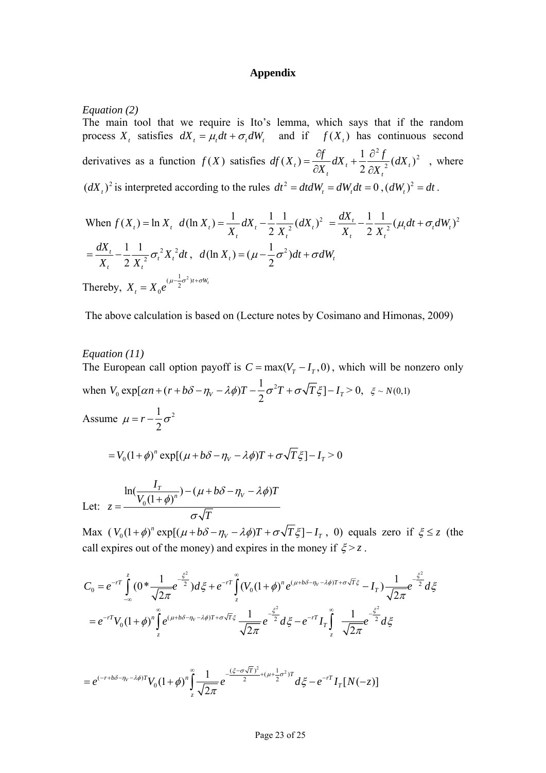#### **Appendix**

*Equation (2)* 

The main tool that we require is Ito's lemma, which says that if the random process  $X_t$ , satisfies  $dX_t = \mu_t dt + \sigma_t dW_t$ derivatives as a function  $f(X)$  satisfies  $df(X_t) = \frac{Cf}{\sigma x} dX_t + \frac{1}{2} \frac{Cf}{\sigma x^2} (dX_t)^2$ and if  $f(X_t)$  has continuous second 2 2  $(X_t) = \frac{\partial f}{\partial X_t} dX_t + \frac{1}{2} \frac{\partial^2 f}{\partial X_t^2} (dX_t)$ *t t t dX X*  $f(t) = \frac{\partial f}{\partial x} dX_t + \frac{1}{2} \frac{\partial^2 f}{\partial x^2} (dX_t)$  $(dX_t)^2$  is interpreted according to the rules  $dt^2 = dt dW_t = dW_t dt = 0$ ,  $(dW_t)^2 = dt$ .  $df(X_t) = \frac{\partial f}{\partial X_t} dX_t + \frac{1}{2} \frac{\partial^2 f}{\partial X_t^2} (dX_t)^2$ , where

When 
$$
f(X_t) = \ln X_t
$$
,  $d(\ln X_t) = \frac{1}{X_t} dX_t - \frac{1}{2} \frac{1}{X_t^2} (dX_t)^2 = \frac{dX_t}{X_t} - \frac{1}{2} \frac{1}{X_t^2} (\mu_t dt + \sigma_t dW_t)^2$   
\n $= \frac{dX_t}{X_t} - \frac{1}{2} \frac{1}{X_t^2} \sigma_t^2 X_t^2 dt$ ,  $d(\ln X_t) = (\mu - \frac{1}{2} \sigma^2) dt + \sigma dW_t$   
\nTherefore,  $X_t = X_0 e^{(\mu - \frac{1}{2} \sigma^2)t + \sigma W_t}$ 

The above calculation is based on (Lecture notes by Cosimano and Himonas, 2009)

#### *Equation (11)*

The European call option payoff is  $C = max(V<sub>r</sub> - I<sub>r</sub>, 0)$ , which will be nonzero only when  $V_0 \exp[\alpha n + (r + b\delta - \eta_v - \lambda \phi)T - \frac{1}{2}\sigma^2 T + \sigma \sqrt{T}\xi] - I_T > 0$ ,  $\xi \sim N(0,1)$ Assume  $\mu = r - \frac{1}{2}\sigma^2$  $= V_0 (1 + \phi)^n \exp[(\mu + b\delta - \eta_v - \lambda \phi)T + \sigma \sqrt{T} \xi] - I_\tau > 0$ Let:  $z = \frac{\ln(\frac{I_T}{V_0(1+\phi)^n}) - (\mu + b\delta - \eta_V - \lambda\phi)T}{\sqrt{1-\frac{1}{\sqrt{1-\phi^2}}}}$  $\overline{\phi})^{n}$  ) – ( $\mu$  + b  $\delta$  –  $\eta_{\scriptscriptstyle V}$  –  $\lambda$  $\phi$ )  $-(\mu + b\delta - \eta_v =\frac{W_0(1+1)}{W_0(1+1)}$ 

 $z = \frac{W}{\sqrt{V}}$ 

Max  $(V_0 (1 + \phi)^n \exp[(\mu + b\delta - \eta_V - \lambda \phi)T + \sigma \sqrt{T} \xi] - I_T$ , 0) equals zero if  $\xi \le z$  (the call expires out of the money) and expires in the money if  $\xi > z$ .

$$
C_0 = e^{-rT} \int_{-\infty}^{z} (0^* \frac{1}{\sqrt{2\pi}} e^{-\frac{\xi^2}{2}}) d\xi + e^{-rT} \int_{z}^{\infty} (V_0 (1+\phi)^n e^{(\mu+b\delta-\eta_V-\lambda\phi)T+\sigma\sqrt{T}\xi} - I_T) \frac{1}{\sqrt{2\pi}} e^{-\frac{\xi^2}{2}} d\xi
$$
  
=  $e^{-rT} V_0 (1+\phi)^n \int_{z}^{\infty} e^{(\mu+b\delta-\eta_V-\lambda\phi)T+\sigma\sqrt{T}\xi} \frac{1}{\sqrt{2\pi}} e^{-\frac{\xi^2}{2}} d\xi - e^{-rT} I_T \int_{z}^{\infty} \frac{1}{\sqrt{2\pi}} e^{-\frac{\xi^2}{2}} d\xi$ 

$$
= e^{(-r+b\delta-\eta_V-\lambda\phi)T}V_0(1+\phi)^n\int_{z}^{\infty}\frac{1}{\sqrt{2\pi}}e^{-\frac{(\xi-\sigma\sqrt{T})^2}{2}+(\mu+\frac{1}{2}\sigma^2)T}d\xi - e^{-rT}I_T[N(-z)]
$$

*T*

 $\sigma$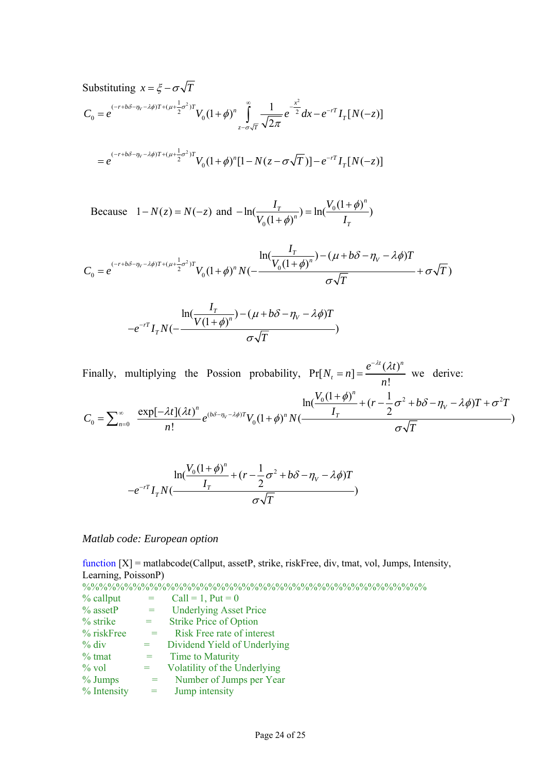Substituting  $x = \xi - \sigma \sqrt{T}$  $V_0 = e^{(-r+b\delta-\eta_V-\lambda\phi)T+(\mu+\frac{1}{2}\sigma^2)T}V_0(1+\phi)^n \int_{0}^{\infty} \frac{1}{\sqrt{2\pi}}e^{-\frac{x^2}{2\sigma^2}}$  $I^{r+b\delta-\eta_v-\lambda\phi}I^{r+(\mu+\frac{1}{2}\sigma^2)T}V_0(1+\phi)^n\int_{-\pi-\sigma\sqrt{T}}^{\infty}\frac{1}{\sqrt{2\pi}}e^{-\frac{x^2}{2}}dx-e^{-rT}I_T[N(-z)]$ *T*  $z-\sigma\sqrt{T}$  $C_0 = e^{(-r+b\delta-\eta_v-\lambda\phi)T+(\mu+\frac{1}{2}\sigma^2)T}V_0(1+\phi)^n \int \frac{1}{\sqrt{u-v^2}}e^{-\frac{u-v^2}{2}}dx - e^{-rT}I_T[N(-\phi)]$  $\sigma$  $\phi)^n$   $\int_{\overline{\mathbb{R}}} \frac{1}{\sqrt{2\pi}}$  $-r+b\delta-\eta_{V}-\lambda\phi)T+(\mu+\frac{1}{2}\sigma^{2})T$   $\mathbf{V}$   $(1+\Delta)^{n}$   $\int_{0}^{\infty}$   $1-\frac{x^{2}}{2}dx$   $e^{-\frac{x^{2}}{2}}$  $= e^{-\left(1+\rho_0 - \eta_V - \lambda \psi \right)T + (\mu + \frac{1}{2})^{-1}t} V_0 (1+\phi)^n \int_{z-\sigma\sqrt{T}} \frac{1}{\sqrt{2\pi}} e^{-\frac{1}{2}} dx - e^{-rT} I_T[N(-\phi)]$ 

$$
= e^{(-r+b\delta-\eta_V-\lambda\phi)T+(\mu+\frac{1}{2}\sigma^2)T}V_0(1+\phi)^n[1-N(z-\sigma\sqrt{T})] - e^{-rT}I_T[N(-z)]
$$

Because  $1 - N(z) = N(-z)$  and  $-\ln(\frac{r}{z} - z) = \ln(\frac{r_0}{z})$  $\ln(\frac{I_T}{V_0(1+\phi)^n}) = \ln(\frac{V_0(1+\phi)^n}{I_T})$ *T n T*  $I_T$  *IV*  $V_0(1+\phi)^{n}$   $I$  $\phi$  $-\ln(\frac{I_T}{V_0(1+\phi)^n}) = \ln(\frac{V_0(1+\phi)^n}{I_T})$ 

$$
C_0 = e^{(-r+b\delta - \eta_V - \lambda\phi)T + (\mu + \frac{1}{2}\sigma^2)T} V_0 (1+\phi)^n N(-\frac{I_T}{V_0(1+\phi)^n}) - (\mu + b\delta - \eta_V - \lambda\phi)T + \sigma\sqrt{T}
$$

$$
-e^{-rT}I_{T}N(-\frac{I_{T}}{\sigma\sqrt{T}})-(\mu+b\delta-\eta_{V}-\lambda\phi)T-\frac{1}{\sigma\sqrt{T}})
$$

Finally, multiplying the Possion probability,  $Pr[N_t = n] = \frac{e^{-\lambda t} (\lambda t)^n}{n!}$  $N_t = n$ ] =  $\frac{e^{-\lambda t}(\lambda t)}{n}$ *n*  $^{-\lambda t}$  (  $\lambda t$  $[n] = \frac{e^{i(n)}}{i}$  we derive:

$$
C_0 = \sum_{n=0}^{\infty} \frac{\exp[-\lambda t](\lambda t)^n}{n!} e^{(b\delta - \eta_V - \lambda \phi)T} V_0 (1 + \phi)^n N(\frac{\ln(\frac{V_0(1 + \phi)^n}{I_T}) + (r - \frac{1}{2}\sigma^2 + b\delta - \eta_V - \lambda \phi)T + \sigma^2 T}{\sigma \sqrt{T}})
$$

$$
-\frac{\ln(\frac{V_0(1+\phi)^n}{I_T}+(r-\frac{1}{2}\sigma^2+b\delta-\eta_V-\lambda\phi)T}{\sigma\sqrt{T}})
$$

#### *Matlab code: European option*

function [X] = matlabcode(Callput, assetP, strike, riskFree, div, tmat, vol, Jumps, Intensity, Learning, PoissonP) %%%%%%%%%%%%%%%%%%%%%%%%%%%%%%%%%%%%%%%%%

| $%$ callput  |                   | Call = 1, Put = $0$           |
|--------------|-------------------|-------------------------------|
| $\%$ assetP  | $=$ $-$           | <b>Underlying Asset Price</b> |
| $%$ strike   | $=$ $-$           | <b>Strike Price of Option</b> |
| $%$ riskFree | $\alpha = \alpha$ | Risk Free rate of interest    |
| $\%$ div     | $\alpha = \alpha$ | Dividend Yield of Underlying  |
| $\%$ tmat    | $=$               | Time to Maturity              |
| $\%$ vol     | $=$               | Volatility of the Underlying  |
| $\%$ Jumps   | $=$               | Number of Jumps per Year      |
| % Intensity  | $=$               | Jump intensity                |
|              |                   |                               |